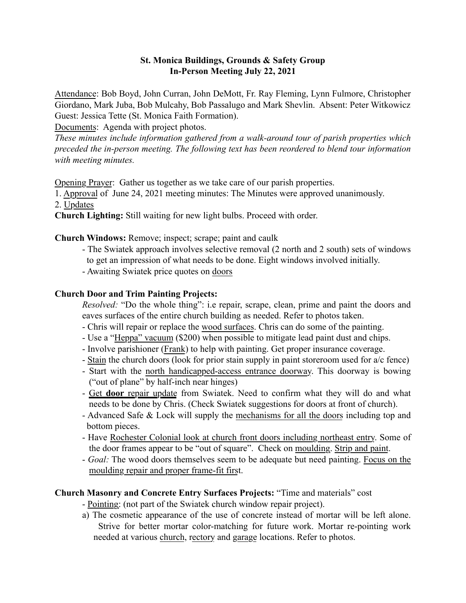## St. Monica Buildings, Grounds & Safety Group In-Person Meeting July 22, 2021

Attendance: Bob Boyd, John Curran, John DeMott, Fr. Ray Fleming, Lynn Fulmore, Christopher Giordano, Mark Juba, Bob Mulcahy, Bob Passalugo and Mark Shevlin. Absent: Peter Witkowicz Guest: Jessica Tette (St. Monica Faith Formation).

Documents: Agenda with project photos.

*These minutes include information gathered from a walk-around tour of parish properties which preceded the in-person meeting. The following text has been reordered to blend tour information with meeting minutes.*

Opening Prayer: Gather us together as we take care of our parish properties.

1. Approval of June 24, 2021 meeting minutes: The Minutes were approved unanimously.

2. Updates

Church Lighting: Still waiting for new light bulbs. Proceed with order.

Church Windows: Remove; inspect; scrape; paint and caulk

- The Swiatek approach involves selective removal (2 north and 2 south) sets of windows to get an impression of what needs to be done. Eight windows involved initially.
- Awaiting Swiatek price quotes on doors

# Church Door and Trim Painting Projects:

*Resolved:* "Do the whole thing": i.e repair, scrape, clean, prime and paint the doors and eaves surfaces of the entire church building as needed. Refer to photos taken.

- Chris will repair or replace the wood surfaces. Chris can do some of the painting.
- Use a "Heppa" vacuum (\$200) when possible to mitigate lead paint dust and chips.
- Involve parishioner (Frank) to help with painting. Get proper insurance coverage.
- Stain the church doors (look for prior stain supply in paint storeroom used for a/c fence)
- Start with the north handicapped-access entrance doorway. This doorway is bowing ("out of plane" by half-inch near hinges)
- Get door repair update from Swiatek. Need to confirm what they will do and what needs to be done by Chris. (Check Swiatek suggestions for doors at front of church).
- Advanced Safe & Lock will supply the mechanisms for all the doors including top and bottom pieces.
- Have Rochester Colonial look at church front doors including northeast entry. Some of the door frames appear to be "out of square". Check on moulding. Strip and paint.
- *Goal:* The wood doors themselves seem to be adequate but need painting. Focus on the moulding repair and proper frame-fit first.

# Church Masonry and Concrete Entry Surfaces Projects: "Time and materials" cost

- Pointing: (not part of the Swiatek church window repair project).

a) The cosmetic appearance of the use of concrete instead of mortar will be left alone. Strive for better mortar color-matching for future work. Mortar re-pointing work needed at various church, rectory and garage locations. Refer to photos.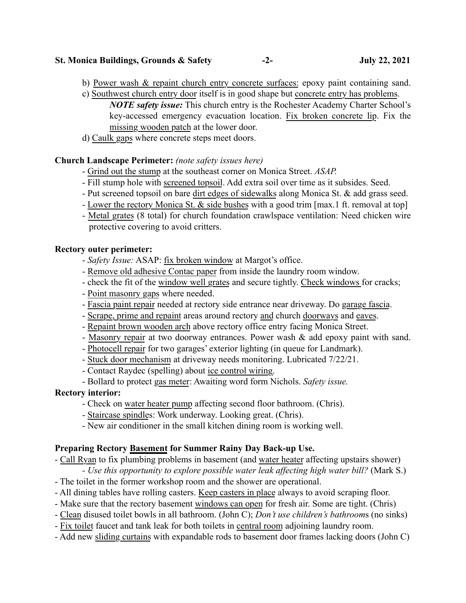#### St. Monica Buildings, Grounds & Safety -2- July 22, 2021

- b) Power wash & repaint church entry concrete surfaces: epoxy paint containing sand.
- c) Southwest church entry door itself is in good shape but concrete entry has problems. *NOTE safety issue:* This church entry is the Rochester Academy Charter School's key-accessed emergency evacuation location. Fix broken concrete lip. Fix the missing wooden patch at the lower door.
- d) Caulk gaps where concrete steps meet doors.

## Church Landscape Perimeter: *(note safety issues here)*

- Grind out the stump at the southeast corner on Monica Street. *ASAP.*
- Fill stump hole with screened topsoil. Add extra soil over time as it subsides. Seed.
- Put screened topsoil on bare dirt edges of sidewalks along Monica St. & add grass seed.
- Lower the rectory Monica St. & side bushes with a good trim [max.1 ft. removal at top]
- Metal grates (8 total) for church foundation crawlspace ventilation: Need chicken wire protective covering to avoid critters.

### Rectory outer perimeter:

- *Safety Issue:* ASAP: fix broken window at Margot's office.
- Remove old adhesive Contac paper from inside the laundry room window.
- check the fit of the window well grates and secure tightly. Check windows for cracks;
- Point masonry gaps where needed.
- Fascia paint repair needed at rectory side entrance near driveway. Do garage fascia.
- Scrape, prime and repaint areas around rectory and church doorways and eaves.
- Repaint brown wooden arch above rectory office entry facing Monica Street.
- Masonry repair at two doorway entrances. Power wash  $\&$  add epoxy paint with sand.
- Photocell repair for two garages' exterior lighting (in queue for Landmark).
- Stuck door mechanism at driveway needs monitoring. Lubricated 7/22/21.
- Contact Raydec (spelling) about ice control wiring.
- Bollard to protect gas meter: Awaiting word form Nichols. *Safety issue.*

# Rectory interior:

- Check on water heater pump affecting second floor bathroom. (Chris).
- Staircase spindles: Work underway. Looking great. (Chris).
- New air conditioner in the small kitchen dining room is working well.

### Preparing Rectory Basement for Summer Rainy Day Back-up Use.

- Call Ryan to fix plumbing problems in basement (and water heater affecting upstairs shower)
	- *Use this opportunity to explore possible water leak affecting high water bill?* (Mark S.)
- The toilet in the former workshop room and the shower are operational.
- All dining tables have rolling casters. Keep casters in place always to avoid scraping floor.
- Make sure that the rectory basement windows can open for fresh air. Some are tight. (Chris)
- Clean disused toilet bowls in all bathroom. (John C); *Don't use children's bathroom*s (no sinks)
- Fix toilet faucet and tank leak for both toilets in central room adjoining laundry room.
- Add new sliding curtains with expandable rods to basement door frames lacking doors (John C)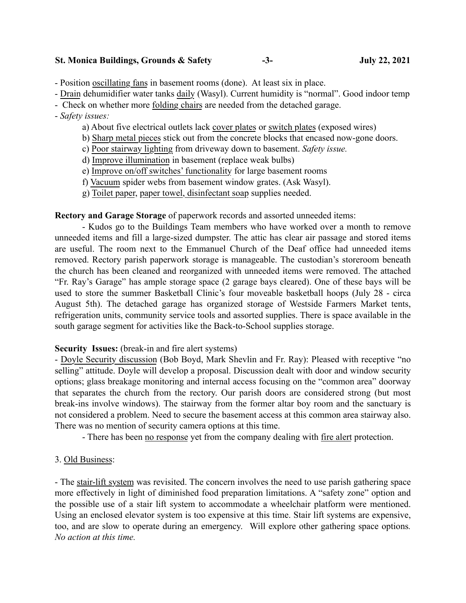#### St. Monica Buildings, Grounds & Safety -3- July 22, 2021

- Position oscillating fans in basement rooms (done). At least six in place.

- Drain dehumidifier water tanks daily (Wasyl). Current humidity is "normal". Good indoor temp

- Check on whether more folding chairs are needed from the detached garage.

### - *Safety issues:*

- a) About five electrical outlets lack cover plates or switch plates (exposed wires)
- b) Sharp metal pieces stick out from the concrete blocks that encased now-gone doors.
- c) Poor stairway lighting from driveway down to basement. *Safety issue.*
- d) Improve illumination in basement (replace weak bulbs)
- e) Improve on/off switches' functionality for large basement rooms
- f) Vacuum spider webs from basement window grates. (Ask Wasyl).
- g) Toilet paper, paper towel, disinfectant soap supplies needed.

Rectory and Garage Storage of paperwork records and assorted unneeded items:

- Kudos go to the Buildings Team members who have worked over a month to remove unneeded items and fill a large-sized dumpster. The attic has clear air passage and stored items are useful. The room next to the Emmanuel Church of the Deaf office had unneeded items removed. Rectory parish paperwork storage is manageable. The custodian's storeroom beneath the church has been cleaned and reorganized with unneeded items were removed. The attached "Fr. Ray's Garage" has ample storage space (2 garage bays cleared). One of these bays will be used to store the summer Basketball Clinic's four moveable basketball hoops (July 28 - circa August 5th). The detached garage has organized storage of Westside Farmers Market tents, refrigeration units, community service tools and assorted supplies. There is space available in the south garage segment for activities like the Back-to-School supplies storage.

#### Security Issues: (break-in and fire alert systems)

- Doyle Security discussion (Bob Boyd, Mark Shevlin and Fr. Ray): Pleased with receptive "no selling" attitude. Doyle will develop a proposal. Discussion dealt with door and window security options; glass breakage monitoring and internal access focusing on the "common area" doorway that separates the church from the rectory. Our parish doors are considered strong (but most break-ins involve windows). The stairway from the former altar boy room and the sanctuary is not considered a problem. Need to secure the basement access at this common area stairway also. There was no mention of security camera options at this time.

- There has been no response yet from the company dealing with fire alert protection.

### 3. Old Business:

- The stair-lift system was revisited. The concern involves the need to use parish gathering space more effectively in light of diminished food preparation limitations. A "safety zone" option and the possible use of a stair lift system to accommodate a wheelchair platform were mentioned. Using an enclosed elevator system is too expensive at this time. Stair lift systems are expensive, too, and are slow to operate during an emergency. Will explore other gathering space options*. No action at this time.*